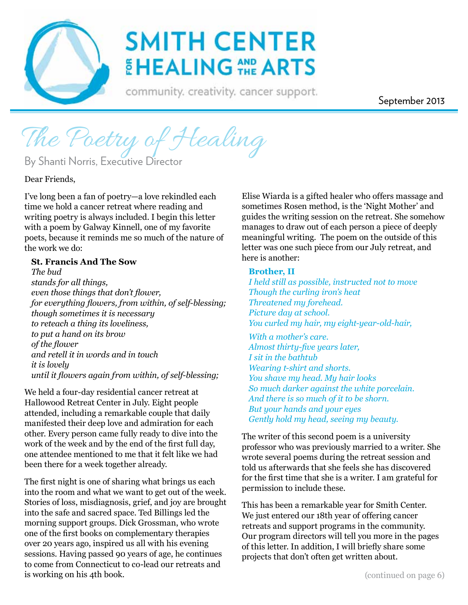

# **SMITH CENTER** EHEALING THE ARTS

community. creativity. cancer support.

September 2013

The Poetry of Healing

By Shanti Norris, Executive Director

Dear Friends,

I've long been a fan of poetry—a love rekindled each time we hold a cancer retreat where reading and writing poetry is always included. I begin this letter with a poem by Galway Kinnell, one of my favorite poets, because it reminds me so much of the nature of the work we do:

#### **St. Francis And The Sow**

*The bud stands for all things, even those things that don't flower, for everything flowers, from within, of self-blessing; though sometimes it is necessary to reteach a thing its loveliness, to put a hand on its brow of the flower and retell it in words and in touch it is lovely until it flowers again from within, of self-blessing;*

We held a four-day residential cancer retreat at Hallowood Retreat Center in July. Eight people attended, including a remarkable couple that daily manifested their deep love and admiration for each other. Every person came fully ready to dive into the work of the week and by the end of the first full day, one attendee mentioned to me that it felt like we had been there for a week together already.

The first night is one of sharing what brings us each into the room and what we want to get out of the week. Stories of loss, misdiagnosis, grief, and joy are brought into the safe and sacred space. Ted Billings led the morning support groups. Dick Grossman, who wrote one of the first books on complementary therapies over 20 years ago, inspired us all with his evening sessions. Having passed 90 years of age, he continues to come from Connecticut to co-lead our retreats and is working on his 4th book.

Elise Wiarda is a gifted healer who offers massage and sometimes Rosen method, is the 'Night Mother' and guides the writing session on the retreat. She somehow manages to draw out of each person a piece of deeply meaningful writing. The poem on the outside of this letter was one such piece from our July retreat, and here is another:

#### **Brother, II**

*I held still as possible, instructed not to move Though the curling iron's heat Threatened my forehead. Picture day at school. You curled my hair, my eight-year-old-hair,*

*With a mother's care. Almost thirty-five years later, I sit in the bathtub Wearing t-shirt and shorts. You shave my head. My hair looks So much darker against the white porcelain. And there is so much of it to be shorn. But your hands and your eyes Gently hold my head, seeing my beauty.*

The writer of this second poem is a university professor who was previously married to a writer. She wrote several poems during the retreat session and told us afterwards that she feels she has discovered for the first time that she is a writer. I am grateful for permission to include these.

This has been a remarkable year for Smith Center. We just entered our 18th year of offering cancer retreats and support programs in the community. Our program directors will tell you more in the pages of this letter. In addition, I will briefly share some projects that don't often get written about.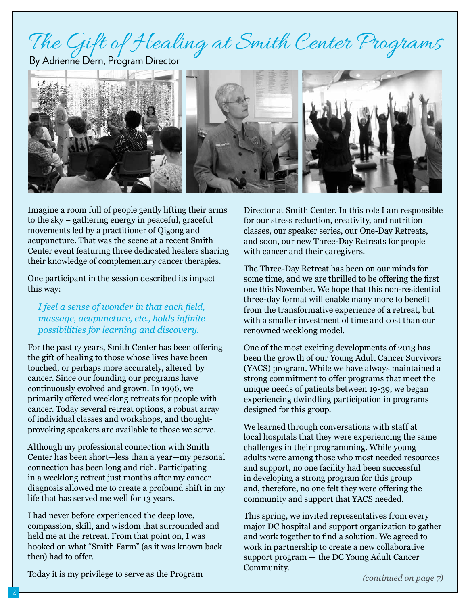# The Gift of Healing at Smith Center Programs

By Adrienne Dern, Program Director



Imagine a room full of people gently lifting their arms to the sky – gathering energy in peaceful, graceful movements led by a practitioner of Qigong and acupuncture. That was the scene at a recent Smith Center event featuring three dedicated healers sharing their knowledge of complementary cancer therapies.

One participant in the session described its impact this way:

*I feel a sense of wonder in that each field, massage, acupuncture, etc., holds infinite possibilities for learning and discovery.*

For the past 17 years, Smith Center has been offering the gift of healing to those whose lives have been touched, or perhaps more accurately, altered by cancer. Since our founding our programs have continuously evolved and grown. In 1996, we primarily offered weeklong retreats for people with cancer. Today several retreat options, a robust array of individual classes and workshops, and thoughtprovoking speakers are available to those we serve.

Although my professional connection with Smith Center has been short—less than a year—my personal connection has been long and rich. Participating in a weeklong retreat just months after my cancer diagnosis allowed me to create a profound shift in my life that has served me well for 13 years.

I had never before experienced the deep love, compassion, skill, and wisdom that surrounded and held me at the retreat. From that point on, I was hooked on what "Smith Farm" (as it was known back then) had to offer.

Director at Smith Center. In this role I am responsible for our stress reduction, creativity, and nutrition classes, our speaker series, our One-Day Retreats, and soon, our new Three-Day Retreats for people with cancer and their caregivers.

The Three-Day Retreat has been on our minds for some time, and we are thrilled to be offering the first one this November. We hope that this non-residential three-day format will enable many more to benefit from the transformative experience of a retreat, but with a smaller investment of time and cost than our renowned weeklong model.

One of the most exciting developments of 2013 has been the growth of our Young Adult Cancer Survivors (YACS) program. While we have always maintained a strong commitment to offer programs that meet the unique needs of patients between 19-39, we began experiencing dwindling participation in programs designed for this group.

We learned through conversations with staff at local hospitals that they were experiencing the same challenges in their programming. While young adults were among those who most needed resources and support, no one facility had been successful in developing a strong program for this group and, therefore, no one felt they were offering the community and support that YACS needed.

This spring, we invited representatives from every major DC hospital and support organization to gather and work together to find a solution. We agreed to work in partnership to create a new collaborative support program — the DC Young Adult Cancer Community.

*(continued on page 7)*

Today it is my privilege to serve as the Program

2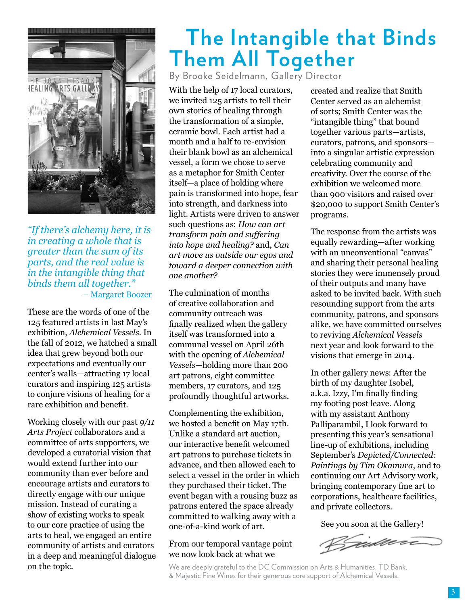

*"If there's alchemy here, it is in creating a whole that is greater than the sum of its parts, and the real value is in the intangible thing that binds them all together."* – Margaret Boozer

These are the words of one of the 125 featured artists in last May's exhibition, *Alchemical Vessels*. In the fall of 2012, we hatched a small idea that grew beyond both our expectations and eventually our center's walls—attracting 17 local curators and inspiring 125 artists to conjure visions of healing for a rare exhibition and benefit.

Working closely with our past *9/11 Arts Project* collaborators and a committee of arts supporters, we developed a curatorial vision that would extend further into our community than ever before and encourage artists and curators to directly engage with our unique mission. Instead of curating a show of existing works to speak to our core practice of using the arts to heal, we engaged an entire community of artists and curators in a deep and meaningful dialogue on the topic.

## **The Intangible that Binds Them All Together**

By Brooke Seidelmann, Gallery Director

With the help of 17 local curators, we invited 125 artists to tell their own stories of healing through the transformation of a simple, ceramic bowl. Each artist had a month and a half to re-envision their blank bowl as an alchemical vessel, a form we chose to serve as a metaphor for Smith Center itself—a place of holding where pain is transformed into hope, fear into strength, and darkness into light. Artists were driven to answer such questions as: *How can art transform pain and suffering into hope and healing?* and, *Can art move us outside our egos and toward a deeper connection with one another?* 

The culmination of months of creative collaboration and community outreach was finally realized when the gallery itself was transformed into a communal vessel on April 26th with the opening of *Alchemical Vessels*—holding more than 200 art patrons, eight committee members, 17 curators, and 125 profoundly thoughtful artworks.

Complementing the exhibition, we hosted a benefit on May 17th. Unlike a standard art auction, our interactive benefit welcomed art patrons to purchase tickets in advance, and then allowed each to select a vessel in the order in which they purchased their ticket. The event began with a rousing buzz as patrons entered the space already committed to walking away with a one-of-a-kind work of art.

From our temporal vantage point we now look back at what we

created and realize that Smith Center served as an alchemist of sorts; Smith Center was the "intangible thing" that bound together various parts—artists, curators, patrons, and sponsors into a singular artistic expression celebrating community and creativity. Over the course of the exhibition we welcomed more than 900 visitors and raised over \$20,000 to support Smith Center's programs.

The response from the artists was equally rewarding—after working with an unconventional "canvas" and sharing their personal healing stories they were immensely proud of their outputs and many have asked to be invited back. With such resounding support from the arts community, patrons, and sponsors alike, we have committed ourselves to reviving *Alchemical Vessels* next year and look forward to the visions that emerge in 2014.

In other gallery news: After the birth of my daughter Isobel, a.k.a. Izzy, I'm finally finding my footing post leave. Along with my assistant Anthony Palliparambil, I look forward to presenting this year's sensational line-up of exhibitions, including September's *Depicted/Connected: Paintings by Tim Okamura*, and to continuing our Art Advisory work, bringing contemporary fine art to corporations, healthcare facilities, and private collectors.

See you soon at the Gallery!

Vidace

We are deeply grateful to the DC Commission on Arts & Humanities, TD Bank, & Majestic Fine Wines for their generous core support of Alchemical Vessels.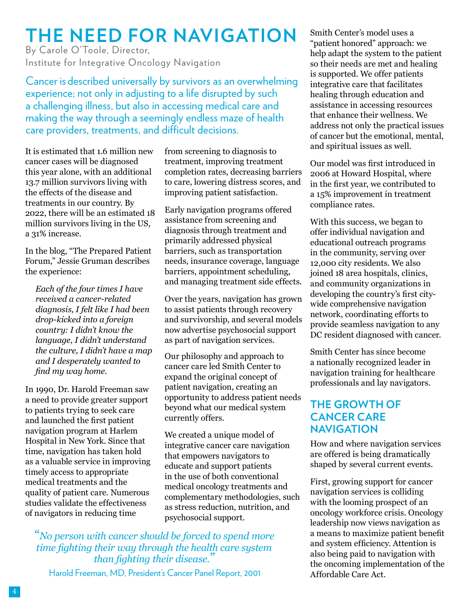## **The Need for Navigation**

By Carole O'Toole, Director, Institute for Integrative Oncology Navigation

Cancer is described universally by survivors as an overwhelming experience; not only in adjusting to a life disrupted by such a challenging illness, but also in accessing medical care and making the way through a seemingly endless maze of health care providers, treatments, and difficult decisions.

It is estimated that 1.6 million new cancer cases will be diagnosed this year alone, with an additional 13.7 million survivors living with the effects of the disease and treatments in our country. By 2022, there will be an estimated 18 million survivors living in the US, a 31% increase.

In the blog, "The Prepared Patient Forum," Jessie Gruman describes the experience:

*Each of the four times I have received a cancer-related diagnosis, I felt like I had been drop-kicked into a foreign country: I didn't know the language, I didn't understand the culture, I didn't have a map and I desperately wanted to find my way home.* 

In 1990, Dr. Harold Freeman saw a need to provide greater support to patients trying to seek care and launched the first patient navigation program at Harlem Hospital in New York. Since that time, navigation has taken hold as a valuable service in improving timely access to appropriate medical treatments and the quality of patient care. Numerous studies validate the effectiveness of navigators in reducing time

from screening to diagnosis to treatment, improving treatment completion rates, decreasing barriers to care, lowering distress scores, and improving patient satisfaction.

Early navigation programs offered assistance from screening and diagnosis through treatment and primarily addressed physical barriers, such as transportation needs, insurance coverage, language barriers, appointment scheduling, and managing treatment side effects.

Over the years, navigation has grown to assist patients through recovery and survivorship, and several models now advertise psychosocial support as part of navigation services.

Our philosophy and approach to cancer care led Smith Center to expand the original concept of patient navigation, creating an opportunity to address patient needs beyond what our medical system currently offers.

We created a unique model of integrative cancer care navigation that empowers navigators to educate and support patients in the use of both conventional medical oncology treatments and complementary methodologies, such as stress reduction, nutrition, and psychosocial support.

*"No person with cancer should be forced to spend more time fighting their way through the health care system than fighting their disease."*

Harold Freeman, MD, President's Cancer Panel Report, 2001

Smith Center's model uses a "patient honored" approach: we help adapt the system to the patient so their needs are met and healing is supported. We offer patients integrative care that facilitates healing through education and assistance in accessing resources that enhance their wellness. We address not only the practical issues of cancer but the emotional, mental, and spiritual issues as well.

Our model was first introduced in 2006 at Howard Hospital, where in the first year, we contributed to a 15% improvement in treatment compliance rates.

With this success, we began to offer individual navigation and educational outreach programs in the community, serving over 12,000 city residents. We also joined 18 area hospitals, clinics, and community organizations in developing the country's first citywide comprehensive navigation network, coordinating efforts to provide seamless navigation to any DC resident diagnosed with cancer.

Smith Center has since become a nationally recognized leader in navigation training for healthcare professionals and lay navigators.

#### **The Growth of Cancer Care Navigation**

How and where navigation services are offered is being dramatically shaped by several current events.

First, growing support for cancer navigation services is colliding with the looming prospect of an oncology workforce crisis. Oncology leadership now views navigation as a means to maximize patient benefit and system efficiency. Attention is also being paid to navigation with the oncoming implementation of the Affordable Care Act.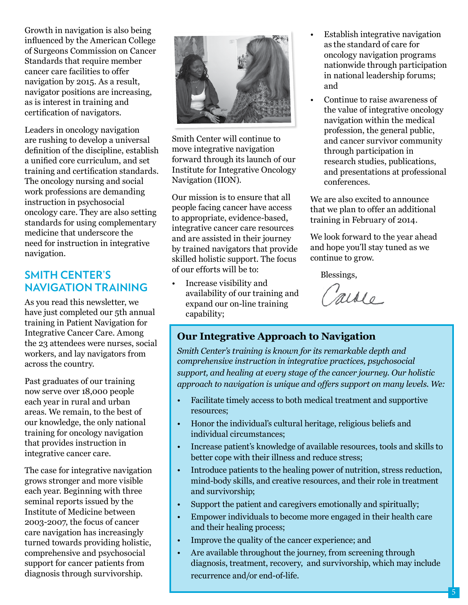Growth in navigation is also being influenced by the American College of Surgeons Commission on Cancer Standards that require member cancer care facilities to offer navigation by 2015. As a result, navigator positions are increasing, as is interest in training and certification of navigators.

Leaders in oncology navigation are rushing to develop a universal definition of the discipline, establish a unified core curriculum, and set training and certification standards. The oncology nursing and social work professions are demanding instruction in psychosocial oncology care. They are also setting standards for using complementary medicine that underscore the need for instruction in integrative navigation.

#### **Smith Center's Navigation Training**

As you read this newsletter, we have just completed our 5th annual training in Patient Navigation for Integrative Cancer Care. Among the 23 attendees were nurses, social workers, and lay navigators from across the country.

Past graduates of our training now serve over 18,000 people each year in rural and urban areas. We remain, to the best of our knowledge, the only national training for oncology navigation that provides instruction in integrative cancer care.

The case for integrative navigation grows stronger and more visible each year. Beginning with three seminal reports issued by the Institute of Medicine between 2003-2007, the focus of cancer care navigation has increasingly turned towards providing holistic, comprehensive and psychosocial support for cancer patients from diagnosis through survivorship.



Smith Center will continue to move integrative navigation forward through its launch of our Institute for Integrative Oncology Navigation (IION).

Our mission is to ensure that all people facing cancer have access to appropriate, evidence-based, integrative cancer care resources and are assisted in their journey by trained navigators that provide skilled holistic support. The focus of our efforts will be to:

• Increase visibility and availability of our training and expand our on-line training capability;

- Establish integrative navigation as the standard of care for oncology navigation programs nationwide through participation in national leadership forums; and
- Continue to raise awareness of the value of integrative oncology navigation within the medical profession, the general public, and cancer survivor community through participation in research studies, publications, and presentations at professional conferences.

We are also excited to announce that we plan to offer an additional training in February of 2014.

We look forward to the year ahead and hope you'll stay tuned as we continue to grow.

Blessings,

Carole

#### **Our Integrative Approach to Navigation**

*Smith Center's training is known for its remarkable depth and comprehensive instruction in integrative practices, psychosocial support, and healing at every stage of the cancer journey. Our holistic approach to navigation is unique and offers support on many levels. We:* 

- Facilitate timely access to both medical treatment and supportive resources;
- Honor the individual's cultural heritage, religious beliefs and individual circumstances;
- Increase patient's knowledge of available resources, tools and skills to better cope with their illness and reduce stress;
- Introduce patients to the healing power of nutrition, stress reduction, mind-body skills, and creative resources, and their role in treatment and survivorship;
- Support the patient and caregivers emotionally and spiritually;
- Empower individuals to become more engaged in their health care and their healing process;
- Improve the quality of the cancer experience; and
- Are available throughout the journey, from screening through diagnosis, treatment, recovery, and survivorship, which may include recurrence and/or end-of-life.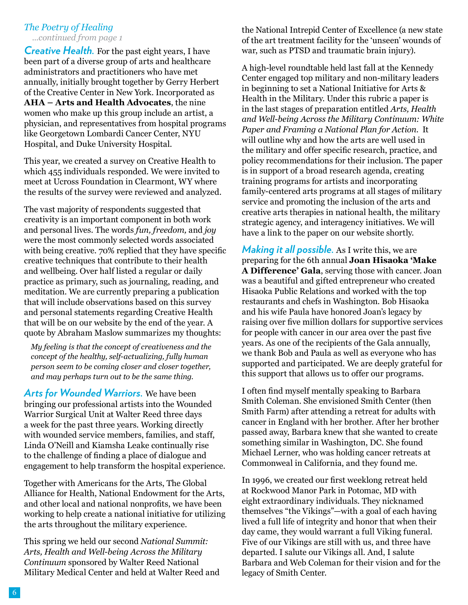#### *The Poetry of Healing ...continued from page 1*

*Creative Health.* For the past eight years, I have been part of a diverse group of arts and healthcare administrators and practitioners who have met annually, initially brought together by Gerry Herbert of the Creative Center in New York. Incorporated as **AHA – Arts and Health Advocates**, the nine women who make up this group include an artist, a physician, and representatives from hospital programs like Georgetown Lombardi Cancer Center, NYU Hospital, and Duke University Hospital.

This year, we created a survey on Creative Health to which 455 individuals responded. We were invited to meet at Ucross Foundation in Clearmont, WY where the results of the survey were reviewed and analyzed.

The vast majority of respondents suggested that creativity is an important component in both work and personal lives. The words *fun, freedom,* and *joy*  were the most commonly selected words associated with being creative. 70% replied that they have specific creative techniques that contribute to their health and wellbeing. Over half listed a regular or daily practice as primary, such as journaling, reading, and meditation. We are currently preparing a publication that will include observations based on this survey and personal statements regarding Creative Health that will be on our website by the end of the year. A quote by Abraham Maslow summarizes my thoughts:

*My feeling is that the concept of creativeness and the concept of the healthy, self-actualizing, fully human person seem to be coming closer and closer together, and may perhaps turn out to be the same thing.*

*Arts for Wounded Warriors.* We have been bringing our professional artists into the Wounded Warrior Surgical Unit at Walter Reed three days a week for the past three years. Working directly with wounded service members, families, and staff, Linda O'Neill and Kiamsha Leake continually rise to the challenge of finding a place of dialogue and engagement to help transform the hospital experience.

Together with Americans for the Arts, The Global Alliance for Health, National Endowment for the Arts, and other local and national nonprofits, we have been working to help create a national initiative for utilizing the arts throughout the military experience.

This spring we held our second *National Summit: Arts, Health and Well-being Across the Military Continuum* sponsored by Walter Reed National Military Medical Center and held at Walter Reed and the National Intrepid Center of Excellence (a new state of the art treatment facility for the 'unseen' wounds of war, such as PTSD and traumatic brain injury).

A high-level roundtable held last fall at the Kennedy Center engaged top military and non-military leaders in beginning to set a National Initiative for Arts & Health in the Military. Under this rubric a paper is in the last stages of preparation entitled *Arts, Health and Well-being Across the Military Continuum: White Paper and Framing a National Plan for Action*. It will outline why and how the arts are well used in the military and offer specific research, practice, and policy recommendations for their inclusion. The paper is in support of a broad research agenda, creating training programs for artists and incorporating family-centered arts programs at all stages of military service and promoting the inclusion of the arts and creative arts therapies in national health, the military strategic agency, and interagency initiatives. We will have a link to the paper on our website shortly.

*Making it all possible.* As I write this, we are preparing for the 6th annual **Joan Hisaoka 'Make A Difference' Gala**, serving those with cancer. Joan was a beautiful and gifted entrepreneur who created Hisaoka Public Relations and worked with the top restaurants and chefs in Washington. Bob Hisaoka and his wife Paula have honored Joan's legacy by raising over five million dollars for supportive services for people with cancer in our area over the past five years. As one of the recipients of the Gala annually, we thank Bob and Paula as well as everyone who has supported and participated. We are deeply grateful for this support that allows us to offer our programs.

I often find myself mentally speaking to Barbara Smith Coleman. She envisioned Smith Center (then Smith Farm) after attending a retreat for adults with cancer in England with her brother. After her brother passed away, Barbara knew that she wanted to create something similar in Washington, DC. She found Michael Lerner, who was holding cancer retreats at Commonweal in California, and they found me.

In 1996, we created our first weeklong retreat held at Rockwood Manor Park in Potomac, MD with eight extraordinary individuals. They nicknamed themselves "the Vikings"—with a goal of each having lived a full life of integrity and honor that when their day came, they would warrant a full Viking funeral. Five of our Vikings are still with us, and three have departed. I salute our Vikings all. And, I salute Barbara and Web Coleman for their vision and for the legacy of Smith Center.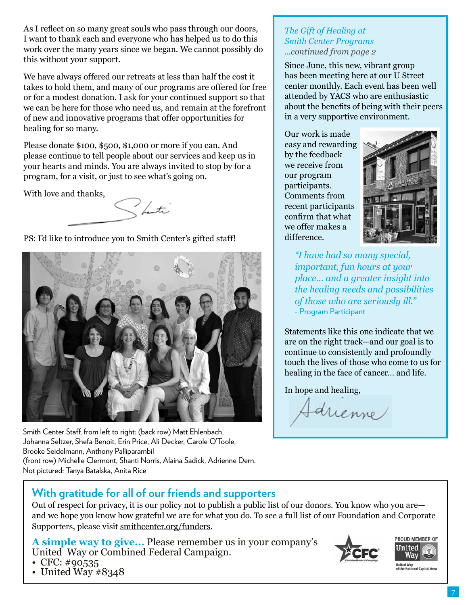As I reflect on so many great souls who pass through our doors, I want to thank each and everyone who has helped us to do this work over the many years since we began. We cannot possibly do this without your support.

We have always offered our retreats at less than half the cost it takes to hold them, and many of our programs are offered for free or for a modest donation. I ask for your continued support so that we can be here for those who need us, and remain at the forefront of new and innovative programs that offer opportunities for healing for so many.

Please donate \$100, \$500, \$1,000 or more if you can. And please continue to tell people about our services and keep us in your hearts and minds. You are always invited to stop by for a program, for a visit, or just to see what's going on.

With love and thanks,

Shorti

PS: I'd like to introduce you to Smith Center's gifted staff!



Smith Center Staff, from left to right: (back row) Matt Ehlenbach, Johanna Seltzer, Shefa Benoit, Erin Price, Ali Decker, Carole O'Toole, Brooke Seidelmann, Anthony Palliparambil (front row) Michelle Clermont, Shanti Norris, Alaina Sadick, Adrienne Dern. Not pictured: Tanya Batalska, Anita Rice

#### *The Gift of Healing at Smith Center Programs ...continued from page 2*

Since June, this new, vibrant group has been meeting here at our U Street center monthly. Each event has been well attended by YACS who are enthusiastic about the benefits of being with their peers in a very supportive environment.

Our work is made easy and rewarding by the feedback we receive from our program participants. Comments from recent participants confirm that what we offer makes a difference.



*"I have had so many special, important, fun hours at your place… and a greater insight into the healing needs and possibilities of those who are seriously ill."* - Program Participant

Statements like this one indicate that we are on the right track—and our goal is to continue to consistently and profoundly touch the lives of those who come to us for healing in the face of cancer… and life.

In hope and healing,

Sarienne

### **With gratitude for all of our friends and supporters**

Out of respect for privacy, it is our policy not to publish a public list of our donors. You know who you are and we hope you know how grateful we are for what you do. To see a full list of our Foundation and Corporate Supporters, please visit smithcenter.org/funders.

**A simple way to give...** Please remember us in your company's United Way or Combined Federal Campaign. • CFC: #90535





United Way<br>of the National Capital Area

• United Way #8348